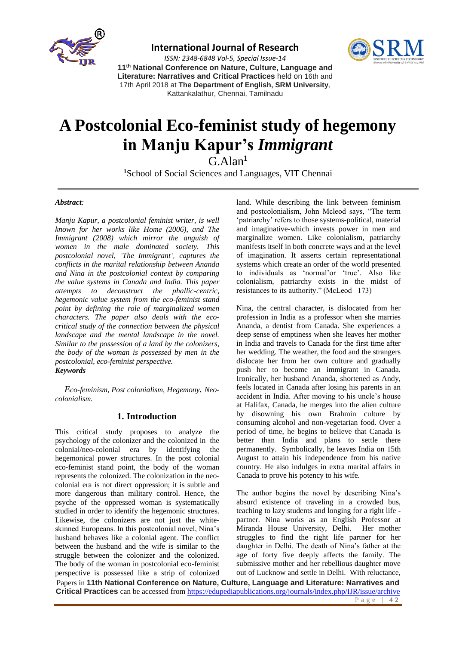

### **International Journal of Research**



*ISSN: 2348-6848 Vol-5, Special Issue-14* **11th National Conference on Nature, Culture, Language and Literature: Narratives and Critical Practices** held on 16th and 17th April 2018 at **The Department of English, SRM University**, Kattankalathur, Chennai, Tamilnadu

# **A Postcolonial Eco-feminist study of hegemony in Manju Kapur's** *Immigrant*

G.Alan**<sup>1</sup>**

**<sup>1</sup>**School of Social Sciences and Languages, VIT Chennai

#### *Abstract:*

*Manju Kapur, a postcolonial feminist writer, is well known for her works like Home (2006), and The Immigrant (2008) which mirror the anguish of women in the male dominated society. This postcolonial novel, 'The Immigrant', captures the conflicts in the marital relationship between Ananda and Nina in the postcolonial context by comparing the value systems in Canada and India. This paper attempts to deconstruct the phallic-centric, hegemonic value system from the eco-feminist stand point by defining the role of marginalized women characters. The paper also deals with the ecocritical study of the connection between the physical landscape and the mental landscape in the novel. Similar to the possession of a land by the colonizers, the body of the woman is possessed by men in the postcolonial, eco-feminist perspective. Keywords* 

*Eco-feminism, Post colonialism, Hegemony. Neocolonialism.*

### **1. Introduction**

This critical study proposes to analyze the psychology of the colonizer and the colonized in the colonial/neo-colonial era by identifying the hegemonical power structures. In the post colonial eco-feminist stand point, the body of the woman represents the colonized. The colonization in the neocolonial era is not direct oppression; it is subtle and more dangerous than military control. Hence, the psyche of the oppressed woman is systematically studied in order to identify the hegemonic structures. Likewise, the colonizers are not just the whiteskinned Europeans. In this postcolonial novel, Nina's husband behaves like a colonial agent. The conflict between the husband and the wife is similar to the struggle between the colonizer and the colonized. The body of the woman in postcolonial eco-feminist perspective is possessed like a strip of colonized

land. While describing the link between feminism and postcolonialism, John Mcleod says, "The term 'patriarchy' refers to those systems-political, material and imaginative-which invests power in men and marginalize women. Like colonialism, patriarchy manifests itself in both concrete ways and at the level of imagination. It asserts certain representational systems which create an order of the world presented to individuals as 'normal'or 'true'. Also like colonialism, patriarchy exists in the midst of resistances to its authority." (McLeod 173)

Nina, the central character, is dislocated from her profession in India as a professor when she marries Ananda, a dentist from Canada. She experiences a deep sense of emptiness when she leaves her mother in India and travels to Canada for the first time after her wedding. The weather, the food and the strangers dislocate her from her own culture and gradually push her to become an immigrant in Canada. Ironically, her husband Ananda, shortened as Andy, feels located in Canada after losing his parents in an accident in India. After moving to his uncle's house at Halifax, Canada, he merges into the alien culture by disowning his own Brahmin culture by consuming alcohol and non-vegetarian food. Over a period of time, he begins to believe that Canada is better than India and plans to settle there permanently. Symbolically, he leaves India on 15th August to attain his independence from his native country. He also indulges in extra marital affairs in Canada to prove his potency to his wife.

The author begins the novel by describing Nina's absurd existence of traveling in a crowded bus, teaching to lazy students and longing for a right life partner. Nina works as an English Professor at Miranda House University, Delhi. Her mother struggles to find the right life partner for her daughter in Delhi. The death of Nina's father at the age of forty five deeply affects the family. The submissive mother and her rebellious daughter move out of Lucknow and settle in Delhi. With reluctance,

Papers in **11th National Conference on Nature, Culture, Language and Literature: Narratives and Critical Practices** can be accessed fro[m https://edupediapublications.org/journals/index.php/IJR/issue/archive](https://edupediapublications.org/journals/index.php/IJR/issue/archive)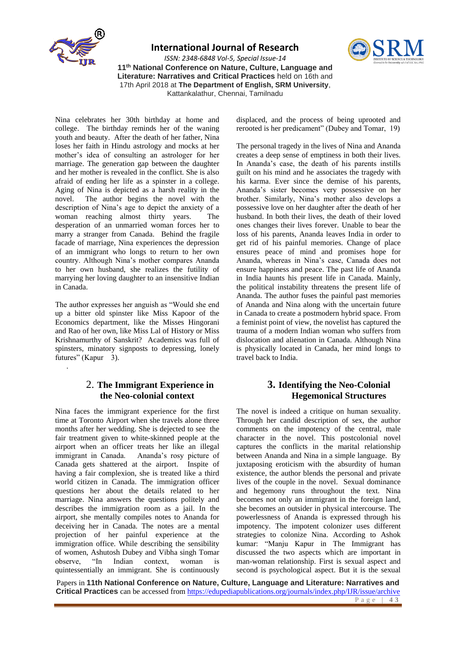

.

**International Journal of Research**

*ISSN: 2348-6848 Vol-5, Special Issue-14* **11th National Conference on Nature, Culture, Language and Literature: Narratives and Critical Practices** held on 16th and 17th April 2018 at **The Department of English, SRM University**, Kattankalathur, Chennai, Tamilnadu



displaced, and the process of being uprooted and rerooted is her predicament" (Dubey and Tomar, 19)

Nina celebrates her 30th birthday at home and college. The birthday reminds her of the waning youth and beauty. After the death of her father, Nina loses her faith in Hindu astrology and mocks at her mother's idea of consulting an astrologer for her marriage. The generation gap between the daughter and her mother is revealed in the conflict. She is also afraid of ending her life as a spinster in a college. Aging of Nina is depicted as a harsh reality in the novel. The author begins the novel with the The author begins the novel with the description of Nina's age to depict the anxiety of a woman reaching almost thirty years. The desperation of an unmarried woman forces her to marry a stranger from Canada. Behind the fragile facade of marriage, Nina experiences the depression of an immigrant who longs to return to her own country. Although Nina's mother compares Ananda to her own husband, she realizes the futility of marrying her loving daughter to an insensitive Indian in Canada.

The author expresses her anguish as "Would she end up a bitter old spinster like Miss Kapoor of the Economics department, like the Misses Hingorani and Rao of her own, like Miss Lal of History or Miss Krishnamurthy of Sanskrit? Academics was full of spinsters, minatory signposts to depressing, lonely futures" (Kapur 3).

# 2. **The Immigrant Experience in the Neo-colonial context**

Nina faces the immigrant experience for the first time at Toronto Airport when she travels alone three months after her wedding. She is dejected to see the fair treatment given to white-skinned people at the airport when an officer treats her like an illegal immigrant in Canada. Ananda's rosy picture of Canada gets shattered at the airport. Inspite of having a fair complexion, she is treated like a third world citizen in Canada. The immigration officer questions her about the details related to her marriage. Nina answers the questions politely and describes the immigration room as a jail. In the airport, she mentally compiles notes to Ananda for deceiving her in Canada. The notes are a mental projection of her painful experience at the immigration office. While describing the sensibility of women, Ashutosh Dubey and Vibha singh Tomar observe, "In Indian context, woman is quintessentially an immigrant. She is continuously The personal tragedy in the lives of Nina and Ananda creates a deep sense of emptiness in both their lives. In Ananda's case, the death of his parents instills guilt on his mind and he associates the tragedy with his karma. Ever since the demise of his parents, Ananda's sister becomes very possessive on her brother. Similarly, Nina's mother also develops a possessive love on her daughter after the death of her husband. In both their lives, the death of their loved ones changes their lives forever. Unable to bear the loss of his parents, Ananda leaves India in order to get rid of his painful memories. Change of place ensures peace of mind and promises hope for Ananda, whereas in Nina's case, Canada does not ensure happiness and peace. The past life of Ananda in India haunts his present life in Canada. Mainly, the political instability threatens the present life of Ananda. The author fuses the painful past memories of Ananda and Nina along with the uncertain future in Canada to create a postmodern hybrid space. From a feminist point of view, the novelist has captured the trauma of a modern Indian woman who suffers from dislocation and alienation in Canada. Although Nina is physically located in Canada, her mind longs to travel back to India.

# **3. Identifying the Neo-Colonial Hegemonical Structures**

The novel is indeed a critique on human sexuality. Through her candid description of sex, the author comments on the impotency of the central, male character in the novel. This postcolonial novel captures the conflicts in the marital relationship between Ananda and Nina in a simple language. By juxtaposing eroticism with the absurdity of human existence, the author blends the personal and private lives of the couple in the novel. Sexual dominance and hegemony runs throughout the text. Nina becomes not only an immigrant in the foreign land, she becomes an outsider in physical intercourse. The powerlessness of Ananda is expressed through his impotency. The impotent colonizer uses different strategies to colonize Nina. According to Ashok kumar: "Manju Kapur in The Immigrant has discussed the two aspects which are important in man-woman relationship. First is sexual aspect and second is psychological aspect. But it is the sexual

Papers in **11th National Conference on Nature, Culture, Language and Literature: Narratives and Critical Practices** can be accessed fro[m https://edupediapublications.org/journals/index.php/IJR/issue/archive](https://edupediapublications.org/journals/index.php/IJR/issue/archive) P a g e | **4 3**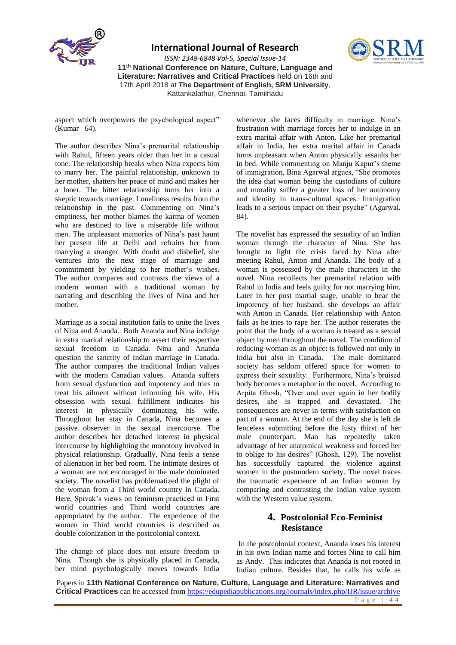

**International Journal of Research**

*ISSN: 2348-6848 Vol-5, Special Issue-14* **11th National Conference on Nature, Culture, Language and Literature: Narratives and Critical Practices** held on 16th and 17th April 2018 at **The Department of English, SRM University**, Kattankalathur, Chennai, Tamilnadu

aspect which overpowers the psychological aspect"

(Kumar 64).

The author describes Nina's premarital relationship with Rahul, fifteen years older than her in a casual tone. The relationship breaks when Nina expects him to marry her. The painful relationship, unknown to her mother, shatters her peace of mind and makes her a loner. The bitter relationship turns her into a skeptic towards marriage. Loneliness results from the relationship in the past. Commenting on Nina's emptiness, her mother blames the karma of women who are destined to live a miserable life without men. The unpleasant memories of Nina's past haunt her present life at Delhi and refrains her from marrying a stranger. With doubt and disbelief, she ventures into the next stage of marriage and commitment by yielding to her mother's wishes. The author compares and contrasts the views of a modern woman with a traditional woman by narrating and describing the lives of Nina and her mother.

Marriage as a social institution fails to unite the lives of Nina and Ananda. Both Ananda and Nina indulge in extra marital relationship to assert their respective sexual freedom in Canada. Nina and Ananda question the sanctity of Indian marriage in Canada. The author compares the traditional Indian values with the modern Canadian values. Ananda suffers from sexual dysfunction and impotency and tries to treat his ailment without informing his wife. His obsession with sexual fulfillment indicates his interest in physically dominating his wife. Throughout her stay in Canada, Nina becomes a passive observer in the sexual intercourse. The author describes her detached interest in physical intercourse by highlighting the monotony involved in physical relationship. Gradually, Nina feels a sense of alienation in her bed room. The intimate desires of a woman are not encouraged in the male dominated society. The novelist has problematized the plight of the woman from a Third world country in Canada. Here, Spivak's views on feminism practiced in First world countries and Third world countries are appropriated by the author. The experience of the women in Third world countries is described as double colonization in the postcolonial context.

The change of place does not ensure freedom to Nina. Though she is physically placed in Canada, her mind psychologically moves towards India whenever she faces difficulty in marriage. Nina's frustration with marriage forces her to indulge in an extra marital affair with Anton. Like her premarital affair in India, her extra marital affair in Canada turns unpleasant when Anton physically assaults her in bed. While commenting on Manju Kapur's theme of immigration, Bina Agarwal argues, "She promotes the idea that woman being the custodians of culture and morality suffer a greater loss of her autonomy and identity in trans-cultural spaces. Immigration leads to a serious impact on their psyche" (Agarwal, 84).

The novelist has expressed the sexuality of an Indian woman through the character of Nina. She has brought to light the crisis faced by Nina after meeting Rahul, Anton and Ananda. The body of a woman is possessed by the male characters in the novel. Nina recollects her premarital relation with Rahul in India and feels guilty for not marrying him. Later in her post martial stage, unable to bear the impotency of her husband, she develops an affair with Anton in Canada. Her relationship with Anton fails as he tries to rape her. The author reiterates the point that the body of a woman is treated as a sexual object by men throughout the novel. The condition of reducing woman as an object is followed not only in<br>India but also in Canada. The male dominated India but also in Canada. society has seldom offered space for women to express their sexuality. Furthermore, Nina's bruised body becomes a metaphor in the novel. According to Arpita Ghosh, "Over and over again in her bodily desires, she is trapped and devastated. The consequences are never in terms with satisfaction on part of a woman. At the end of the day she is left de fenceless submitting before the lusty thirst of her male counterpart. Man has repeatedly taken advantage of her anatomical weakness and forced her to oblige to his desires" (Ghosh, 129). The novelist has successfully captured the violence against women in the postmodern society. The novel traces the traumatic experience of an Indian woman by comparing and contrasting the Indian value system with the Western value system.

# **4. Postcolonial Eco-Feminist Resistance**

In the postcolonial context, Ananda loses his interest in his own Indian name and forces Nina to call him as Andy. This indicates that Ananda is not rooted in Indian culture. Besides that, he calls his wife as

Papers in **11th National Conference on Nature, Culture, Language and Literature: Narratives and Critical Practices** can be accessed fro[m https://edupediapublications.org/journals/index.php/IJR/issue/archive](https://edupediapublications.org/journals/index.php/IJR/issue/archive) P a g e | **4 4**